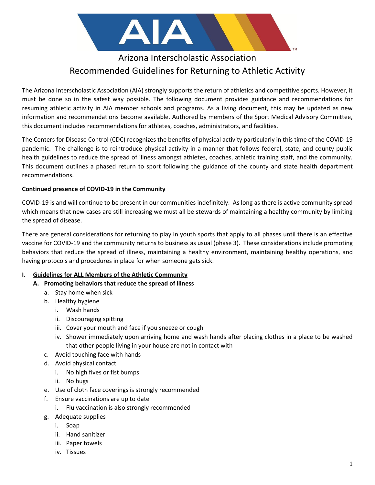

# Arizona Interscholastic Association Recommended Guidelines for Returning to Athletic Activity

The Arizona Interscholastic Association (AIA) strongly supports the return of athletics and competitive sports. However, it must be done so in the safest way possible. The following document provides guidance and recommendations for resuming athletic activity in AIA member schools and programs. As a living document, this may be updated as new information and recommendations become available. Authored by members of the Sport Medical Advisory Committee, this document includes recommendations for athletes, coaches, administrators, and facilities.

The Centers for Disease Control (CDC) recognizes the benefits of physical activity particularly in this time of the COVID-19 pandemic. The challenge is to reintroduce physical activity in a manner that follows federal, state, and county public health guidelines to reduce the spread of illness amongst athletes, coaches, athletic training staff, and the community. This document outlines a phased return to sport following the guidance of the county and state health department recommendations.

## **Continued presence of COVID-19 in the Community**

COVID-19 is and will continue to be present in our communities indefinitely. As long as there is active community spread which means that new cases are still increasing we must all be stewards of maintaining a healthy community by limiting the spread of disease.

There are general considerations for returning to play in youth sports that apply to all phases until there is an effective vaccine for COVID-19 and the community returns to business as usual (phase 3). These considerations include promoting behaviors that reduce the spread of illness, maintaining a healthy environment, maintaining healthy operations, and having protocols and procedures in place for when someone gets sick.

## **I. Guidelines for ALL Members of the Athletic Community**

- **A. Promoting behaviors that reduce the spread of illness**
	- a. Stay home when sick
	- b. Healthy hygiene
		- i. Wash hands
		- ii. Discouraging spitting
		- iii. Cover your mouth and face if you sneeze or cough
		- iv. Shower immediately upon arriving home and wash hands after placing clothes in a place to be washed that other people living in your house are not in contact with
	- c. Avoid touching face with hands
	- d. Avoid physical contact
		- i. No high fives or fist bumps
		- ii. No hugs
	- e. Use of cloth face coverings is strongly recommended
	- f. Ensure vaccinations are up to date
		- i. Flu vaccination is also strongly recommended
	- g. Adequate supplies
		- i. Soap
		- ii. Hand sanitizer
		- iii. Paper towels
		- iv. Tissues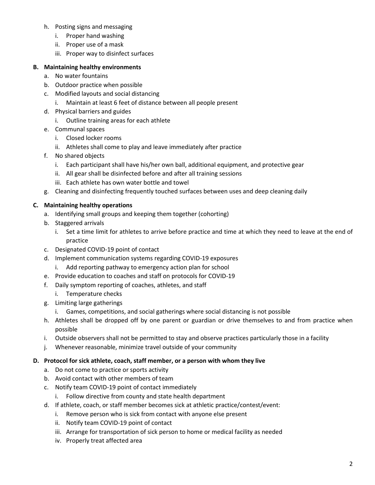- h. Posting signs and messaging
	- i. Proper hand washing
	- ii. Proper use of a mask
	- iii. Proper way to disinfect surfaces

#### **B. Maintaining healthy environments**

- a. No water fountains
- b. Outdoor practice when possible
- c. Modified layouts and social distancing
	- i. Maintain at least 6 feet of distance between all people present
- d. Physical barriers and guides
	- i. Outline training areas for each athlete
- e. Communal spaces
	- i. Closed locker rooms
	- ii. Athletes shall come to play and leave immediately after practice
- f. No shared objects
	- i. Each participant shall have his/her own ball, additional equipment, and protective gear
	- ii. All gear shall be disinfected before and after all training sessions
	- iii. Each athlete has own water bottle and towel
- g. Cleaning and disinfecting frequently touched surfaces between uses and deep cleaning daily

#### **C. Maintaining healthy operations**

- a. Identifying small groups and keeping them together (cohorting)
- b. Staggered arrivals
	- i. Set a time limit for athletes to arrive before practice and time at which they need to leave at the end of practice
- c. Designated COVID-19 point of contact
- d. Implement communication systems regarding COVID-19 exposures
	- i. Add reporting pathway to emergency action plan for school
- e. Provide education to coaches and staff on protocols for COVID-19
- f. Daily symptom reporting of coaches, athletes, and staff
	- i. Temperature checks
- g. Limiting large gatherings
	- i. Games, competitions, and social gatherings where social distancing is not possible
- h. Athletes shall be dropped off by one parent or guardian or drive themselves to and from practice when possible
- i. Outside observers shall not be permitted to stay and observe practices particularly those in a facility
- j. Whenever reasonable, minimize travel outside of your community

#### **D. Protocol for sick athlete, coach, staff member, or a person with whom they live**

- a. Do not come to practice or sports activity
- b. Avoid contact with other members of team
- c. Notify team COVID-19 point of contact immediately
	- i. Follow directive from county and state health department
- d. If athlete, coach, or staff member becomes sick at athletic practice/contest/event:
	- i. Remove person who is sick from contact with anyone else present
	- ii. Notify team COVID-19 point of contact
	- iii. Arrange for transportation of sick person to home or medical facility as needed
	- iv. Properly treat affected area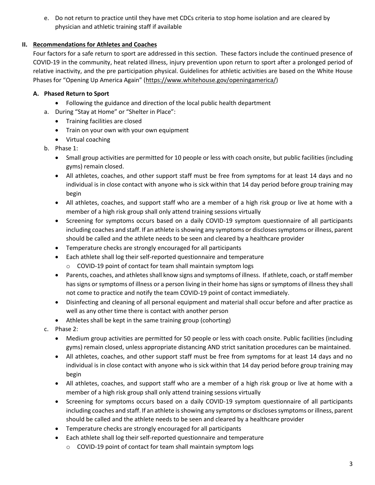e. Do not return to practice until they have met CDCs criteria to stop home isolation and are cleared by physician and athletic training staff if available

# **II. Recommendations for Athletes and Coaches**

Four factors for a safe return to sport are addressed in this section. These factors include the continued presence of COVID-19 in the community, heat related illness, injury prevention upon return to sport after a prolonged period of relative inactivity, and the pre participation physical. Guidelines for athletic activities are based on the White House Phases for "Opening Up America Again" ([https://www.whitehouse.gov/openingamerica/\)](https://www.whitehouse.gov/openingamerica/)

## **A. Phased Return to Sport**

- Following the guidance and direction of the local public health department
- a. During "Stay at Home" or "Shelter in Place":
	- Training facilities are closed
	- Train on your own with your own equipment
	- Virtual coaching
- b. Phase 1:
	- Small group activities are permitted for 10 people or less with coach onsite, but public facilities (including gyms) remain closed.
	- All athletes, coaches, and other support staff must be free from symptoms for at least 14 days and no individual is in close contact with anyone who is sick within that 14 day period before group training may begin
	- All athletes, coaches, and support staff who are a member of a high risk group or live at home with a member of a high risk group shall only attend training sessions virtually
	- Screening for symptoms occurs based on a daily COVID-19 symptom questionnaire of all participants including coaches and staff. If an athlete is showing any symptoms or discloses symptoms or illness, parent should be called and the athlete needs to be seen and cleared by a healthcare provider
	- Temperature checks are strongly encouraged for all participants
	- Each athlete shall log their self-reported questionnaire and temperature
		- o COVID-19 point of contact for team shall maintain symptom logs
	- Parents, coaches, and athletes shall know signs and symptoms of illness. If athlete, coach, or staff member has signs or symptoms of illness or a person living in their home has signs or symptoms of illness they shall not come to practice and notify the team COVID-19 point of contact immediately.
	- Disinfecting and cleaning of all personal equipment and material shall occur before and after practice as well as any other time there is contact with another person
	- Athletes shall be kept in the same training group (cohorting)
- c. Phase 2:
	- Medium group activities are permitted for 50 people or less with coach onsite. Public facilities (including gyms) remain closed, unless appropriate distancing AND strict sanitation procedures can be maintained.
	- All athletes, coaches, and other support staff must be free from symptoms for at least 14 days and no individual is in close contact with anyone who is sick within that 14 day period before group training may begin
	- All athletes, coaches, and support staff who are a member of a high risk group or live at home with a member of a high risk group shall only attend training sessions virtually
	- Screening for symptoms occurs based on a daily COVID-19 symptom questionnaire of all participants including coaches and staff. If an athlete is showing any symptoms or discloses symptoms or illness, parent should be called and the athlete needs to be seen and cleared by a healthcare provider
	- Temperature checks are strongly encouraged for all participants
	- Each athlete shall log their self-reported questionnaire and temperature
		- o COVID-19 point of contact for team shall maintain symptom logs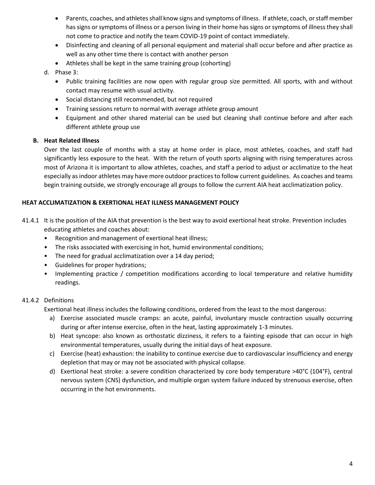- Parents, coaches, and athletes shall know signs and symptoms of illness. If athlete, coach, or staff member has signs or symptoms of illness or a person living in their home has signs or symptoms of illness they shall not come to practice and notify the team COVID-19 point of contact immediately.
- Disinfecting and cleaning of all personal equipment and material shall occur before and after practice as well as any other time there is contact with another person
- Athletes shall be kept in the same training group (cohorting)
- d. Phase 3:
	- Public training facilities are now open with regular group size permitted. All sports, with and without contact may resume with usual activity.
	- Social distancing still recommended, but not required
	- Training sessions return to normal with average athlete group amount
	- Equipment and other shared material can be used but cleaning shall continue before and after each different athlete group use

## **B. Heat Related Illness**

Over the last couple of months with a stay at home order in place, most athletes, coaches, and staff had significantly less exposure to the heat. With the return of youth sports aligning with rising temperatures across most of Arizona it is important to allow athletes, coaches, and staff a period to adjust or acclimatize to the heat especially as indoor athletes may have more outdoor practices to follow current guidelines. As coaches and teams begin training outside, we strongly encourage all groups to follow the current AIA heat acclimatization policy.

## **HEAT ACCLIMATIZATION & EXERTIONAL HEAT ILLNESS MANAGEMENT POLICY**

- 41.4.1 It is the position of the AIA that prevention is the best way to avoid exertional heat stroke. Prevention includes educating athletes and coaches about:
	- Recognition and management of exertional heat illness;
	- The risks associated with exercising in hot, humid environmental conditions;
	- The need for gradual acclimatization over a 14 day period;
	- Guidelines for proper hydrations;
	- Implementing practice / competition modifications according to local temperature and relative humidity readings.

## 41.4.2 Definitions

Exertional heat illness includes the following conditions, ordered from the least to the most dangerous:

- a) Exercise associated muscle cramps: an acute, painful, involuntary muscle contraction usually occurring during or after intense exercise, often in the heat, lasting approximately 1-3 minutes.
- b) Heat syncope: also known as orthostatic dizziness, it refers to a fainting episode that can occur in high environmental temperatures, usually during the initial days of heat exposure.
- c) Exercise (heat) exhaustion: the inability to continue exercise due to cardiovascular insufficiency and energy depletion that may or may not be associated with physical collapse.
- d) Exertional heat stroke: a severe condition characterized by core body temperature >40°C (104°F), central nervous system (CNS) dysfunction, and multiple organ system failure induced by strenuous exercise, often occurring in the hot environments.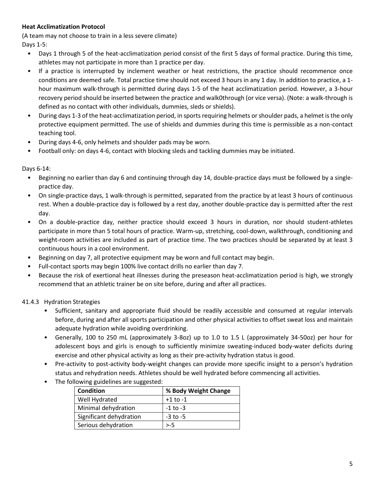# **Heat Acclimatization Protocol**

(A team may not choose to train in a less severe climate) Days 1-5:

- Days 1 through 5 of the heat-acclimatization period consist of the first 5 days of formal practice. During this time, athletes may not participate in more than 1 practice per day.
- If a practice is interrupted by inclement weather or heat restrictions, the practice should recommence once conditions are deemed safe. Total practice time should not exceed 3 hours in any 1 day. In addition to practice, a 1 hour maximum walk-through is permitted during days 1-5 of the heat acclimatization period. However, a 3-hour recovery period should be inserted between the practice and walk0through (or vice versa). (Note: a walk-through is defined as no contact with other individuals, dummies, sleds or shields).
- During days 1-3 of the heat-acclimatization period, in sports requiring helmets or shoulder pads, a helmet is the only protective equipment permitted. The use of shields and dummies during this time is permissible as a non-contact teaching tool.
- During days 4-6, only helmets and shoulder pads may be worn.
- Football only: on days 4-6, contact with blocking sleds and tackling dummies may be initiated.

Days 6-14:

- Beginning no earlier than day 6 and continuing through day 14, double-practice days must be followed by a singlepractice day.
- On single-practice days, 1 walk-through is permitted, separated from the practice by at least 3 hours of continuous rest. When a double-practice day is followed by a rest day, another double-practice day is permitted after the rest day.
- On a double-practice day, neither practice should exceed 3 hours in duration, nor should student-athletes participate in more than 5 total hours of practice. Warm-up, stretching, cool-down, walkthrough, conditioning and weight-room activities are included as part of practice time. The two practices should be separated by at least 3 continuous hours in a cool environment.
- Beginning on day 7, all protective equipment may be worn and full contact may begin.
- Full-contact sports may begin 100% live contact drills no earlier than day 7.
- Because the risk of exertional heat illnesses during the preseason heat-acclimatization period is high, we strongly recommend that an athletic trainer be on site before, during and after all practices.

## 41.4.3 Hydration Strategies

- Sufficient, sanitary and appropriate fluid should be readily accessible and consumed at regular intervals before, during and after all sports participation and other physical activities to offset sweat loss and maintain adequate hydration while avoiding overdrinking.
- Generally, 100 to 250 mL (approximately 3-8oz) up to 1.0 to 1.5 L (approximately 34-50oz) per hour for adolescent boys and girls is enough to sufficiently minimize sweating-induced body-water deficits during exercise and other physical activity as long as their pre-activity hydration status is good.
- Pre-activity to post-activity body-weight changes can provide more specific insight to a person's hydration status and rehydration needs. Athletes should be well hydrated before commencing all activities.
- The following guidelines are suggested:

| <b>Condition</b>        | % Body Weight Change |
|-------------------------|----------------------|
| Well Hydrated           | $+1$ to $-1$         |
| Minimal dehydration     | $-1$ to $-3$         |
| Significant dehydration | $-3$ to $-5$         |
| Serious dehydration     | $> -5$               |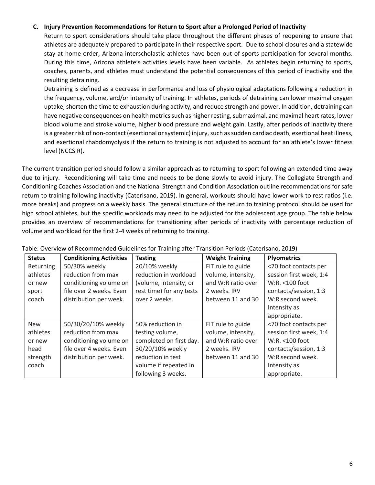#### **C. Injury Prevention Recommendations for Return to Sport after a Prolonged Period of Inactivity**

Return to sport considerations should take place throughout the different phases of reopening to ensure that athletes are adequately prepared to participate in their respective sport. Due to school closures and a statewide stay at home order, Arizona interscholastic athletes have been out of sports participation for several months. During this time, Arizona athlete's activities levels have been variable. As athletes begin returning to sports, coaches, parents, and athletes must understand the potential consequences of this period of inactivity and the resulting detraining.

Detraining is defined as a decrease in performance and loss of physiological adaptations following a reduction in the frequency, volume, and/or intensity of training. In athletes, periods of detraining can lower maximal oxygen uptake, shorten the time to exhaustion during activity, and reduce strength and power. In addition, detraining can have negative consequences on health metrics such as higher resting, submaximal, and maximal heart rates, lower blood volume and stroke volume, higher blood pressure and weight gain. Lastly, after periods of inactivity there is a greater risk of non-contact (exertional or systemic) injury, such as sudden cardiac death, exertional heat illness, and exertional rhabdomyolysis if the return to training is not adjusted to account for an athlete's lower fitness level (NCCSIR).

The current transition period should follow a similar approach as to returning to sport following an extended time away due to injury. Reconditioning will take time and needs to be done slowly to avoid injury. The Collegiate Strength and Conditioning Coaches Association and the National Strength and Condition Association outline recommendations for safe return to training following inactivity (Caterisano, 2019). In general, workouts should have lower work to rest ratios (i.e. more breaks) and progress on a weekly basis. The general structure of the return to training protocol should be used for high school athletes, but the specific workloads may need to be adjusted for the adolescent age group. The table below provides an overview of recommendations for transitioning after periods of inactivity with percentage reduction of volume and workload for the first 2-4 weeks of returning to training.

| <b>Status</b> | <b>Conditioning Activities</b> | <b>Testing</b>           | <b>Weight Training</b> | <b>Plyometrics</b>      |
|---------------|--------------------------------|--------------------------|------------------------|-------------------------|
| Returning     | 50/30% weekly                  | 20/10% weekly            | FIT rule to guide      | <70 foot contacts per   |
| athletes      | reduction from max             | reduction in workload    | volume, intensity,     | session first week, 1:4 |
| or new        | conditioning volume on         | (volume, intensity, or   | and W:R ratio over     | W:R. <100 foot          |
| sport         | file over 2 weeks. Even        | rest time) for any tests | 2 weeks. IRV           | contacts/session, 1:3   |
| coach         | distribution per week.         | over 2 weeks.            | between 11 and 30      | W:R second week.        |
|               |                                |                          |                        | Intensity as            |
|               |                                |                          |                        | appropriate.            |
| <b>New</b>    | 50/30/20/10% weekly            | 50% reduction in         | FIT rule to guide      | <70 foot contacts per   |
| athletes      | reduction from max             | testing volume,          | volume, intensity,     | session first week, 1:4 |
| or new        | conditioning volume on         | completed on first day.  | and W:R ratio over     | W:R. <100 foot          |
| head          | file over 4 weeks. Even        | 30/20/10% weekly         | 2 weeks. IRV           | contacts/session, 1:3   |
| strength      | distribution per week.         | reduction in test        | between 11 and 30      | W:R second week.        |
| coach         |                                | volume if repeated in    |                        | Intensity as            |
|               |                                | following 3 weeks.       |                        | appropriate.            |

Table: Overview of Recommended Guidelines for Training after Transition Periods (Caterisano, 2019)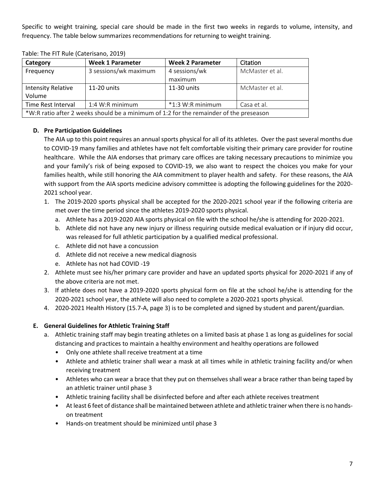Specific to weight training, special care should be made in the first two weeks in regards to volume, intensity, and frequency. The table below summarizes recommendations for returning to weight training.

| Category                                                                               | <b>Week 1 Parameter</b> | <b>Week 2 Parameter</b> | Citation        |  |
|----------------------------------------------------------------------------------------|-------------------------|-------------------------|-----------------|--|
| Frequency                                                                              | 3 sessions/wk maximum   | 4 sessions/wk           | McMaster et al. |  |
|                                                                                        |                         | maximum                 |                 |  |
| <b>Intensity Relative</b>                                                              | 11-20 units             | 11-30 units             | McMaster et al. |  |
| Volume                                                                                 |                         |                         |                 |  |
| Time Rest Interval                                                                     | 1:4 W:R minimum         | $*1:3$ W:R minimum      | Casa et al.     |  |
| *W:R ratio after 2 weeks should be a minimum of 1:2 for the remainder of the preseason |                         |                         |                 |  |

Table: The FIT Rule (Caterisano, 2019)

# **D. Pre Participation Guidelines**

The AIA up to this point requires an annual sports physical for all of its athletes. Over the past several months due to COVID-19 many families and athletes have not felt comfortable visiting their primary care provider for routine healthcare. While the AIA endorses that primary care offices are taking necessary precautions to minimize you and your family's risk of being exposed to COVID-19, we also want to respect the choices you make for your families health, while still honoring the AIA commitment to player health and safety. For these reasons, the AIA with support from the AIA sports medicine advisory committee is adopting the following guidelines for the 2020- 2021 school year.

- 1. The 2019-2020 sports physical shall be accepted for the 2020-2021 school year if the following criteria are met over the time period since the athletes 2019-2020 sports physical.
	- a. Athlete has a 2019-2020 AIA sports physical on file with the school he/she is attending for 2020-2021.
	- b. Athlete did not have any new injury or illness requiring outside medical evaluation or if injury did occur, was released for full athletic participation by a qualified medical professional.
	- c. Athlete did not have a concussion
	- d. Athlete did not receive a new medical diagnosis
	- e. Athlete has not had COVID -19
- 2. Athlete must see his/her primary care provider and have an updated sports physical for 2020-2021 if any of the above criteria are not met.
- 3. If athlete does not have a 2019-2020 sports physical form on file at the school he/she is attending for the 2020-2021 school year, the athlete will also need to complete a 2020-2021 sports physical.
- 4. 2020-2021 Health History (15.7-A, page 3) is to be completed and signed by student and parent/guardian.

## **E. General Guidelines for Athletic Training Staff**

- a. Athletic training staff may begin treating athletes on a limited basis at phase 1 as long as guidelines for social distancing and practices to maintain a healthy environment and healthy operations are followed
	- Only one athlete shall receive treatment at a time
	- Athlete and athletic trainer shall wear a mask at all times while in athletic training facility and/or when receiving treatment
	- Athletes who can wear a brace that they put on themselves shall wear a brace rather than being taped by an athletic trainer until phase 3
	- Athletic training facility shall be disinfected before and after each athlete receives treatment
	- At least 6 feet of distance shall be maintained between athlete and athletic trainer when there is no handson treatment
	- Hands-on treatment should be minimized until phase 3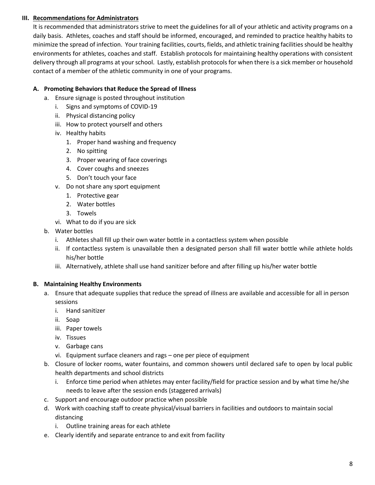## **III. Recommendations for Administrators**

It is recommended that administrators strive to meet the guidelines for all of your athletic and activity programs on a daily basis. Athletes, coaches and staff should be informed, encouraged, and reminded to practice healthy habits to minimize the spread of infection. Your training facilities, courts, fields, and athletic training facilities should be healthy environments for athletes, coaches and staff. Establish protocols for maintaining healthy operations with consistent delivery through all programs at your school. Lastly, establish protocols for when there is a sick member or household contact of a member of the athletic community in one of your programs.

# **A. Promoting Behaviors that Reduce the Spread of Illness**

- a. Ensure signage is posted throughout institution
	- i. Signs and symptoms of COVID-19
	- ii. Physical distancing policy
	- iii. How to protect yourself and others
	- iv. Healthy habits
		- 1. Proper hand washing and frequency
		- 2. No spitting
		- 3. Proper wearing of face coverings
		- 4. Cover coughs and sneezes
		- 5. Don't touch your face
	- v. Do not share any sport equipment
		- 1. Protective gear
		- 2. Water bottles
		- 3. Towels
	- vi. What to do if you are sick
- b. Water bottles
	- i. Athletes shall fill up their own water bottle in a contactless system when possible
	- ii. If contactless system is unavailable then a designated person shall fill water bottle while athlete holds his/her bottle
	- iii. Alternatively, athlete shall use hand sanitizer before and after filling up his/her water bottle

## **B. Maintaining Healthy Environments**

- a. Ensure that adequate supplies that reduce the spread of illness are available and accessible for all in person sessions
	- i. Hand sanitizer
	- ii. Soap
	- iii. Paper towels
	- iv. Tissues
	- v. Garbage cans
	- vi. Equipment surface cleaners and rags one per piece of equipment
- b. Closure of locker rooms, water fountains, and common showers until declared safe to open by local public health departments and school districts
	- i. Enforce time period when athletes may enter facility/field for practice session and by what time he/she needs to leave after the session ends (staggered arrivals)
- c. Support and encourage outdoor practice when possible
- d. Work with coaching staff to create physical/visual barriers in facilities and outdoors to maintain social distancing
	- i. Outline training areas for each athlete
- e. Clearly identify and separate entrance to and exit from facility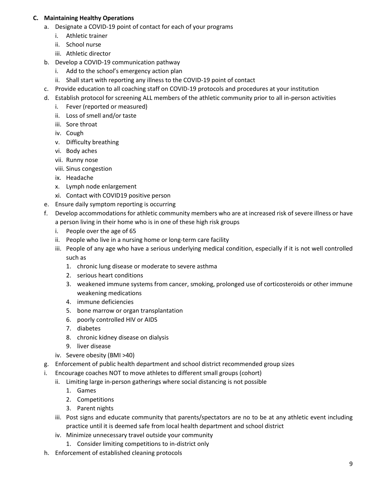# **C. Maintaining Healthy Operations**

- a. Designate a COVID-19 point of contact for each of your programs
	- i. Athletic trainer
	- ii. School nurse
	- iii. Athletic director
- b. Develop a COVID-19 communication pathway
	- i. Add to the school's emergency action plan
	- ii. Shall start with reporting any illness to the COVID-19 point of contact
- c. Provide education to all coaching staff on COVID-19 protocols and procedures at your institution
- d. Establish protocol for screening ALL members of the athletic community prior to all in-person activities
	- i. Fever (reported or measured)
	- ii. Loss of smell and/or taste
	- iii. Sore throat
	- iv. Cough
	- v. Difficulty breathing
	- vi. Body aches
	- vii. Runny nose
	- viii. Sinus congestion
	- ix. Headache
	- x. Lymph node enlargement
	- xi. Contact with COVID19 positive person
- e. Ensure daily symptom reporting is occurring
- f. Develop accommodations for athletic community members who are at increased risk of severe illness or have a person living in their home who is in one of these high risk groups
	- i. People over the age of 65
	- ii. People who live in a nursing home or long-term care facility
	- iii. People of any age who have a serious underlying medical condition, especially if it is not well controlled such as
		- 1. chronic lung disease or moderate to severe asthma
		- 2. serious heart conditions
		- 3. weakened immune systems from cancer, smoking, prolonged use of corticosteroids or other immune weakening medications
		- 4. immune deficiencies
		- 5. bone marrow or organ transplantation
		- 6. poorly controlled HIV or AIDS
		- 7. diabetes
		- 8. chronic kidney disease on dialysis
		- 9. liver disease
	- iv. Severe obesity (BMI >40)
- g. Enforcement of public health department and school district recommended group sizes
- i. Encourage coaches NOT to move athletes to different small groups (cohort)
	- ii. Limiting large in-person gatherings where social distancing is not possible
		- 1. Games
		- 2. Competitions
		- 3. Parent nights
	- iii. Post signs and educate community that parents/spectators are no to be at any athletic event including practice until it is deemed safe from local health department and school district
	- iv. Minimize unnecessary travel outside your community
		- 1. Consider limiting competitions to in-district only
- h. Enforcement of established cleaning protocols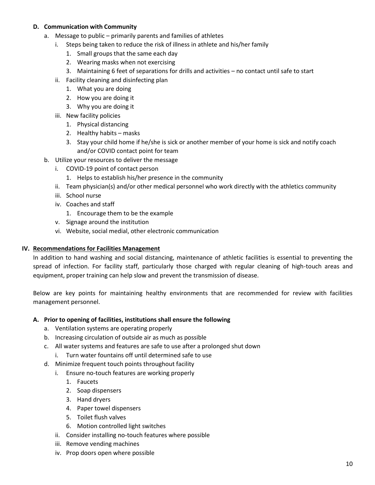#### **D. Communication with Community**

- a. Message to public primarily parents and families of athletes
	- i. Steps being taken to reduce the risk of illness in athlete and his/her family
		- 1. Small groups that the same each day
		- 2. Wearing masks when not exercising
		- 3. Maintaining 6 feet of separations for drills and activities no contact until safe to start
	- ii. Facility cleaning and disinfecting plan
		- 1. What you are doing
		- 2. How you are doing it
		- 3. Why you are doing it
	- iii. New facility policies
		- 1. Physical distancing
		- 2. Healthy habits masks
		- 3. Stay your child home if he/she is sick or another member of your home is sick and notify coach and/or COVID contact point for team
- b. Utilize your resources to deliver the message
	- i. COVID-19 point of contact person
		- 1. Helps to establish his/her presence in the community
	- ii. Team physician(s) and/or other medical personnel who work directly with the athletics community
	- iii. School nurse
	- iv. Coaches and staff
		- 1. Encourage them to be the example
	- v. Signage around the institution
	- vi. Website, social medial, other electronic communication

#### **IV. Recommendations for Facilities Management**

In addition to hand washing and social distancing, maintenance of athletic facilities is essential to preventing the spread of infection. For facility staff, particularly those charged with regular cleaning of high-touch areas and equipment, proper training can help slow and prevent the transmission of disease.

Below are key points for maintaining healthy environments that are recommended for review with facilities management personnel.

#### **A. Prior to opening of facilities, institutions shall ensure the following**

- a. Ventilation systems are operating properly
- b. Increasing circulation of outside air as much as possible
- c. All water systems and features are safe to use after a prolonged shut down
	- i. Turn water fountains off until determined safe to use
- d. Minimize frequent touch points throughout facility
	- i. Ensure no-touch features are working properly
		- 1. Faucets
		- 2. Soap dispensers
		- 3. Hand dryers
		- 4. Paper towel dispensers
		- 5. Toilet flush valves
		- 6. Motion controlled light switches
	- ii. Consider installing no-touch features where possible
	- iii. Remove vending machines
	- iv. Prop doors open where possible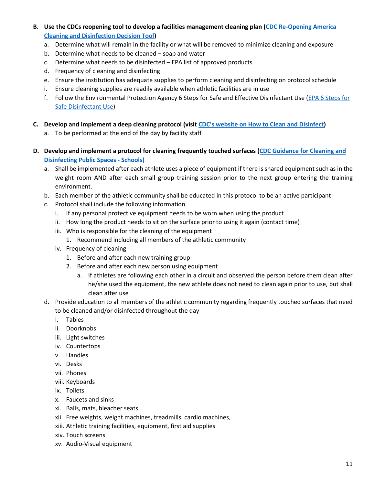- **B. Use the CDCs reopening tool to develop a facilities management cleaning plan [\(CDC Re-Opening America](https://www.cdc.gov/coronavirus/2019-ncov/community/pdf/ReOpening_America_Cleaning_Disinfection_Decision_Tool.pdf)  [Cleaning and Disinfection Decision Tool\)](https://www.cdc.gov/coronavirus/2019-ncov/community/pdf/ReOpening_America_Cleaning_Disinfection_Decision_Tool.pdf)** 
	- a. Determine what will remain in the facility or what will be removed to minimize cleaning and exposure
	- b. Determine what needs to be cleaned soap and water
	- c. Determine what needs to be disinfected EPA list of approved products
	- d. Frequency of cleaning and disinfecting
	- e. Ensure the institution has adequate supplies to perform cleaning and disinfecting on protocol schedule
	- i. Ensure cleaning supplies are readily available when athletic facilities are in use
	- f. Follow the Environmental Protection Agency 6 Steps for Safe and Effective Disinfectant Use (EPA 6 Steps for [Safe Disinfectant Use\)](https://www.epa.gov/sites/production/files/2020-04/documents/disinfectants-onepager.pdf)
- **C.** Develop and implement a deep cleaning protocol (visit [CDC's website on How to Clean and](https://www.cdc.gov/coronavirus/2019-ncov/community/organizations/cleaning-disinfection.html) Disinfect)
	- a. To be performed at the end of the day by facility staff
- **D. Develop and implement a protocol for cleaning frequently touched surfaces (CDC [Guidance for Cleaning and](https://www.cdc.gov/coronavirus/2019-ncov/community/pdf/Reopening_America_Guidance.pdf)  [Disinfecting Public Spaces -](https://www.cdc.gov/coronavirus/2019-ncov/community/pdf/Reopening_America_Guidance.pdf) Schools)**
	- a. Shall be implemented after each athlete uses a piece of equipment if there is shared equipment such as in the weight room AND after each small group training session prior to the next group entering the training environment.
	- b. Each member of the athletic community shall be educated in this protocol to be an active participant
	- c. Protocol shall include the following information
		- i. If any personal protective equipment needs to be worn when using the product
		- ii. How long the product needs to sit on the surface prior to using it again (contact time)
		- iii. Who is responsible for the cleaning of the equipment
			- 1. Recommend including all members of the athletic community
		- iv. Frequency of cleaning
			- 1. Before and after each new training group
			- 2. Before and after each new person using equipment
				- a. If athletes are following each other in a circuit and observed the person before them clean after he/she used the equipment, the new athlete does not need to clean again prior to use, but shall clean after use
	- d. Provide education to all members of the athletic community regarding frequently touched surfaces that need to be cleaned and/or disinfected throughout the day
		- i. Tables
		- ii. Doorknobs
		- iii. Light switches
		- iv. Countertops
		- v. Handles
		- vi. Desks
		- vii. Phones
		- viii. Keyboards
		- ix. Toilets
		- x. Faucets and sinks
		- xi. Balls, mats, bleacher seats
		- xii. Free weights, weight machines, treadmills, cardio machines,
		- xiii. Athletic training facilities, equipment, first aid supplies
		- xiv. Touch screens
		- xv. Audio-Visual equipment